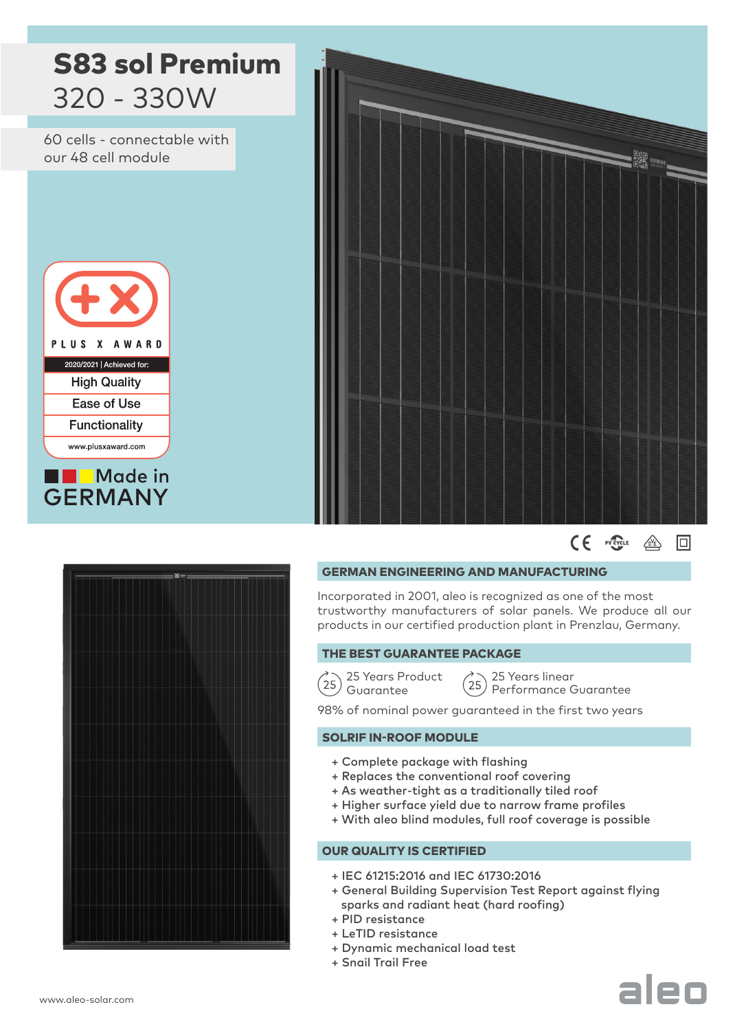



Incorporated in 2001, aleo is recognized as one of the most trustworthy manufacturers of solar panels. We produce all our products in our certified production plant in Prenzlau, Germany.

## THE BEST GUARANTEE PACKAGE

25 Years Product  $(25)$   $\frac{20}{9}$  Guarantee

25 Years linear  $25$ Performance Guarantee

98% of nominal power guaranteed in the first two years

# SOLRIF IN-ROOF MODULE

- + Complete package with flashing
- + Replaces the conventional roof covering
- + As weather-tight as a traditionally tiled roof
- + Higher surface yield due to narrow frame profiles
- + With aleo blind modules, full roof coverage is possible

# OUR QUALITY IS CERTIFIED

- + IEC 61215:2016 and IEC 61730:2016
- + General Building Supervision Test Report against flying sparks and radiant heat (hard roofing)
- + PID resistance
- + LeTID resistance
- + Dynamic mechanical load test
- + Snail Trail Free